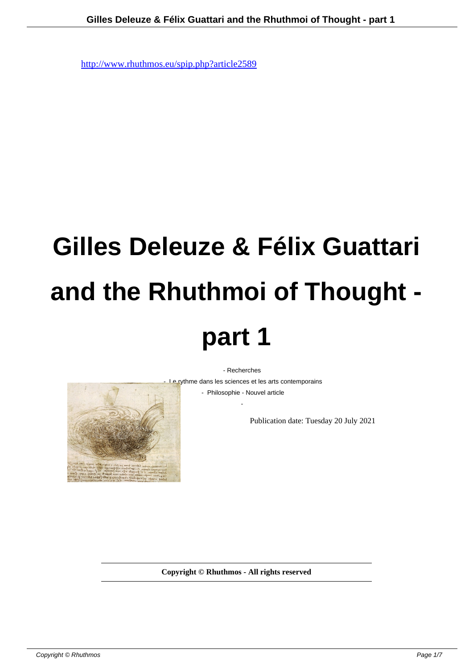# **Gilles Deleuze & Félix Guattari and the Rhuthmoi of Thought part 1**

- Recherches



- Le rythme dans les sciences et les arts contemporains

 - Philosophie - Nouvel article -

Publication date: Tuesday 20 July 2021

**Copyright © Rhuthmos - All rights reserved**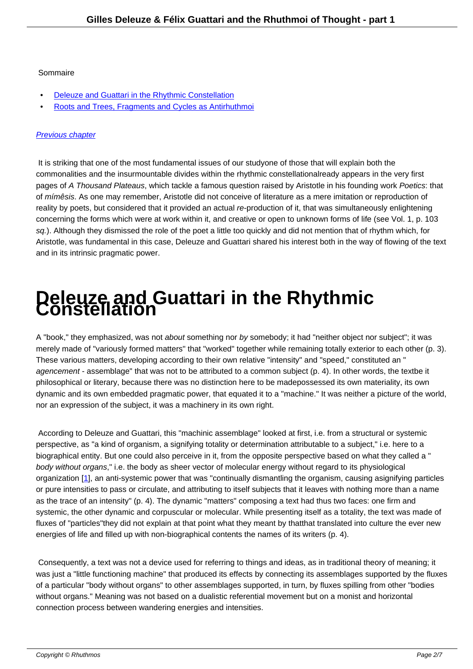### Sommaire

- Deleuze and Guattari in the Rhythmic Constellation
- Roots and Trees, Fragments and Cycles as Antirhuthmoi

### Prev[ious chapter](http://www.rhuthmos.eu/spip.php?page=article_pdf&id_article=2589#outil_sommaire_0)

It is striking that one of the most fundamental issues of our study one of those that will explain both the [commonalities an](http://www.rhuthmos.eu/spip.php?article2736)d the insurmountable divides within the rhythmic constellationalready appears in the very first pages of A Thousand Plateaus, which tackle a famous question raised by Aristotle in his founding work Poetics: that of mímêsis. As one may remember, Aristotle did not conceive of literature as a mere imitation or reproduction of reality by poets, but considered that it provided an actual re-production of it, that was simultaneously enlightening concerning the forms which were at work within it, and creative or open to unknown forms of life (see Vol. 1, p. 103 sq.). Although they dismissed the role of the poet a little too quickly and did not mention that of rhythm which, for Aristotle, was fundamental in this case, Deleuze and Guattari shared his interest both in the way of flowing of the text and in its intrinsic pragmatic power.

## **Deleuze and Guattari in the Rhythmic Constellation**

A "book," they emphasized, was not about something nor by somebody; it had "neither object nor subject"; it was merely made of "variously formed matters" that "worked" together while remaining totally exterior to each other (p. 3). These various matters, developing according to their own relative "intensity" and "speed," constituted an " agencement - assemblage" that was not to be attributed to a common subject (p. 4). In other words, the text be it philosophical or literary, because there was no distinction here to be made possessed its own materiality, its own dynamic and its own embedded pragmatic power, that equated it to a "machine." It was neither a picture of the world, nor an expression of the subject, it was a machinery in its own right.

 According to Deleuze and Guattari, this "machinic assemblage" looked at first, i.e. from a structural or systemic perspective, as "a kind of organism, a signifying totality or determination attributable to a subject," i.e. here to a biographical entity. But one could also perceive in it, from the opposite perspective based on what they called a " body without organs," i.e. the body as sheer vector of molecular energy without regard to its physiological organization [1], an anti-systemic power that was "continually dismantling the organism, causing asignifying particles or pure intensities to pass or circulate, and attributing to itself subjects that it leaves with nothing more than a name as the trace of an intensity" (p. 4). The dynamic "matters" composing a text had thus two faces: one firm and systemic, the other dynamic and corpuscular or molecular. While presenting itself as a totality, the text was made of fluxes of "par[tic](#nb1)les" they did not explain at that point what they meant by that that translated into culture the ever new energies of life and filled up with non-biographical contents the names of its writers (p. 4).

 Consequently, a text was not a device used for referring to things and ideas, as in traditional theory of meaning; it was just a "little functioning machine" that produced its effects by connecting its assemblages supported by the fluxes of a particular "body without organs" to other assemblages supported, in turn, by fluxes spilling from other "bodies without organs." Meaning was not based on a dualistic referential movement but on a monist and horizontal connection process between wandering energies and intensities.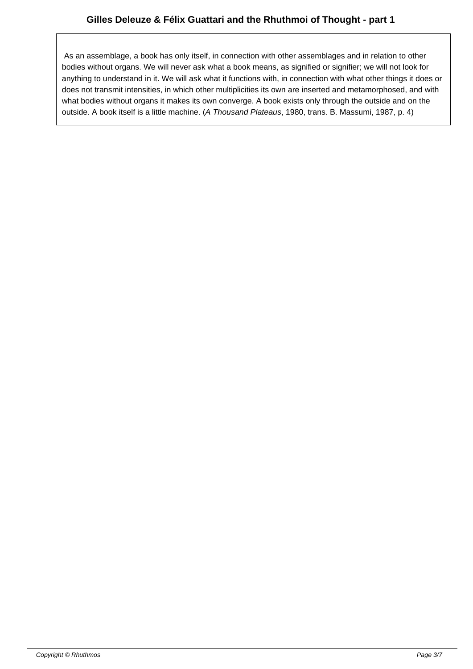As an assemblage, a book has only itself, in connection with other assemblages and in relation to other bodies without organs. We will never ask what a book means, as signified or signifier; we will not look for anything to understand in it. We will ask what it functions with, in connection with what other things it does or does not transmit intensities, in which other multiplicities its own are inserted and metamorphosed, and with what bodies without organs it makes its own converge. A book exists only through the outside and on the outside. A book itself is a little machine. (A Thousand Plateaus, 1980, trans. B. Massumi, 1987, p. 4)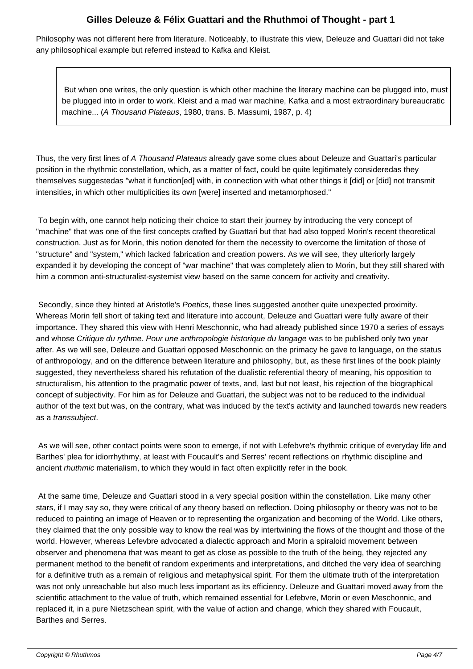Philosophy was not different here from literature. Noticeably, to illustrate this view, Deleuze and Guattari did not take any philosophical example but referred instead to Kafka and Kleist.

 But when one writes, the only question is which other machine the literary machine can be plugged into, must be plugged into in order to work. Kleist and a mad war machine, Kafka and a most extraordinary bureaucratic machine... (A Thousand Plateaus, 1980, trans. B. Massumi, 1987, p. 4)

Thus, the very first lines of A Thousand Plateaus already gave some clues about Deleuze and Guattari's particular position in the rhythmic constellation, which, as a matter of fact, could be quite legitimately considered as they themselves suggestedas "what it function[ed] with, in connection with what other things it [did] or [did] not transmit intensities, in which other multiplicities its own [were] inserted and metamorphosed."

 To begin with, one cannot help noticing their choice to start their journey by introducing the very concept of "machine" that was one of the first concepts crafted by Guattari but that had also topped Morin's recent theoretical construction. Just as for Morin, this notion denoted for them the necessity to overcome the limitation of those of "structure" and "system," which lacked fabrication and creation powers. As we will see, they ulteriorly largely expanded it by developing the concept of "war machine" that was completely alien to Morin, but they still shared with him a common anti-structuralist-systemist view based on the same concern for activity and creativity.

Secondly, since they hinted at Aristotle's Poetics, these lines suggested another quite unexpected proximity. Whereas Morin fell short of taking text and literature into account, Deleuze and Guattari were fully aware of their importance. They shared this view with Henri Meschonnic, who had already published since 1970 a series of essays and whose Critique du rythme. Pour une anthropologie historique du langage was to be published only two year after. As we will see, Deleuze and Guattari opposed Meschonnic on the primacy he gave to language, on the status of anthropology, and on the difference between literature and philosophy, but, as these first lines of the book plainly suggested, they nevertheless shared his refutation of the dualistic referential theory of meaning, his opposition to structuralism, his attention to the pragmatic power of texts, and, last but not least, his rejection of the biographical concept of subjectivity. For him as for Deleuze and Guattari, the subject was not to be reduced to the individual author of the text but was, on the contrary, what was induced by the text's activity and launched towards new readers as a transsubject.

 As we will see, other contact points were soon to emerge, if not with Lefebvre's rhythmic critique of everyday life and Barthes' plea for idiorrhythmy, at least with Foucault's and Serres' recent reflections on rhythmic discipline and ancient rhuthmic materialism, to which they would in fact often explicitly refer in the book.

 At the same time, Deleuze and Guattari stood in a very special position within the constellation. Like many other stars, if I may say so, they were critical of any theory based on reflection. Doing philosophy or theory was not to be reduced to painting an image of Heaven or to representing the organization and becoming of the World. Like others, they claimed that the only possible way to know the real was by intertwining the flows of the thought and those of the world. However, whereas Lefevbre advocated a dialectic approach and Morin a spiraloid movement between observer and phenomena that was meant to get as close as possible to the truth of the being, they rejected any permanent method to the benefit of random experiments and interpretations, and ditched the very idea of searching for a definitive truth as a remain of religious and metaphysical spirit. For them the ultimate truth of the interpretation was not only unreachable but also much less important as its efficiency. Deleuze and Guattari moved away from the scientific attachment to the value of truth, which remained essential for Lefebvre, Morin or even Meschonnic, and replaced it, in a pure Nietzschean spirit, with the value of action and change, which they shared with Foucault, Barthes and Serres.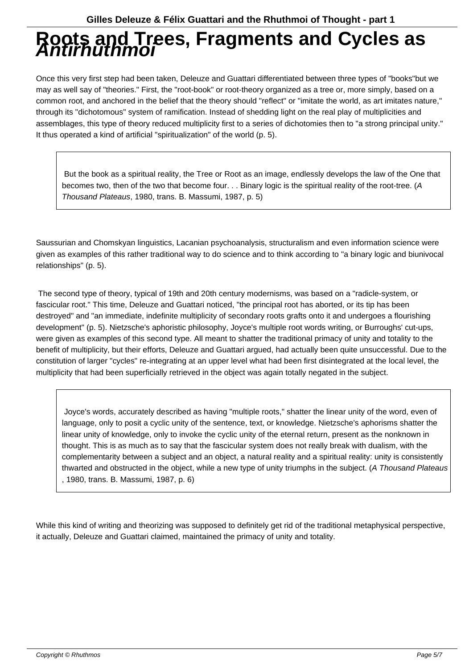### **Roots and Trees, Fragments and Cycles as Antirhuthmoi**

Once this very first step had been taken, Deleuze and Guattari differentiated between three types of "books"but we may as well say of "theories." First, the "root-book" or root-theory organized as a tree or, more simply, based on a common root, and anchored in the belief that the theory should "reflect" or "imitate the world, as art imitates nature," through its "dichotomous" system of ramification. Instead of shedding light on the real play of multiplicities and assemblages, this type of theory reduced multiplicity first to a series of dichotomies then to "a strong principal unity." It thus operated a kind of artificial "spiritualization" of the world (p. 5).

 But the book as a spiritual reality, the Tree or Root as an image, endlessly develops the law of the One that becomes two, then of the two that become four. . . Binary logic is the spiritual reality of the root-tree. (A Thousand Plateaus, 1980, trans. B. Massumi, 1987, p. 5)

Saussurian and Chomskyan linguistics, Lacanian psychoanalysis, structuralism and even information science were given as examples of this rather traditional way to do science and to think according to "a binary logic and biunivocal relationships" (p. 5).

 The second type of theory, typical of 19th and 20th century modernisms, was based on a "radicle-system, or fascicular root." This time, Deleuze and Guattari noticed, "the principal root has aborted, or its tip has been destroyed" and "an immediate, indefinite multiplicity of secondary roots grafts onto it and undergoes a flourishing development" (p. 5). Nietzsche's aphoristic philosophy, Joyce's multiple root words writing, or Burroughs' cut-ups, were given as examples of this second type. All meant to shatter the traditional primacy of unity and totality to the benefit of multiplicity, but their efforts, Deleuze and Guattari argued, had actually been quite unsuccessful. Due to the constitution of larger "cycles" re-integrating at an upper level what had been first disintegrated at the local level, the multiplicity that had been superficially retrieved in the object was again totally negated in the subject.

 Joyce's words, accurately described as having "multiple roots," shatter the linear unity of the word, even of language, only to posit a cyclic unity of the sentence, text, or knowledge. Nietzsche's aphorisms shatter the linear unity of knowledge, only to invoke the cyclic unity of the eternal return, present as the nonknown in thought. This is as much as to say that the fascicular system does not really break with dualism, with the complementarity between a subject and an object, a natural reality and a spiritual reality: unity is consistently thwarted and obstructed in the object, while a new type of unity triumphs in the subject. (A Thousand Plateaus , 1980, trans. B. Massumi, 1987, p. 6)

While this kind of writing and theorizing was supposed to definitely get rid of the traditional metaphysical perspective, it actually, Deleuze and Guattari claimed, maintained the primacy of unity and totality.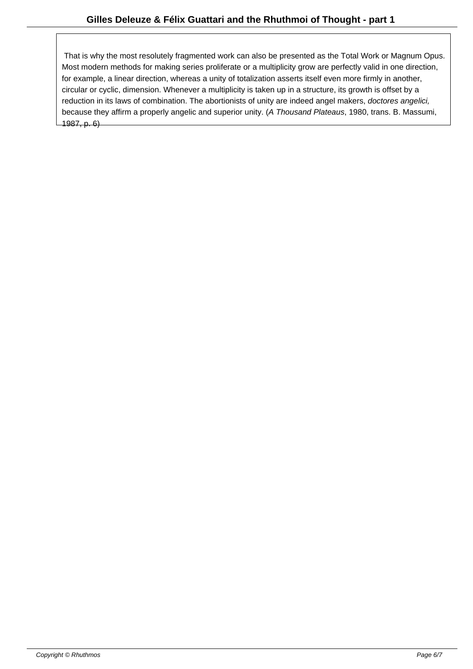That is why the most resolutely fragmented work can also be presented as the Total Work or Magnum Opus. Most modern methods for making series proliferate or a multiplicity grow are perfectly valid in one direction, for example, a linear direction, whereas a unity of totalization asserts itself even more firmly in another, circular or cyclic, dimension. Whenever a multiplicity is taken up in a structure, its growth is offset by a reduction in its laws of combination. The abortionists of unity are indeed angel makers, doctores angelici, because they affirm a properly angelic and superior unity. (A Thousand Plateaus, 1980, trans. B. Massumi, 1987, p. 6)